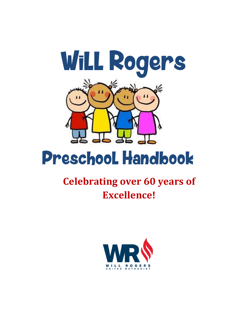

# Preschool Handbook

## **Celebrating over 60 years of Excellence!**

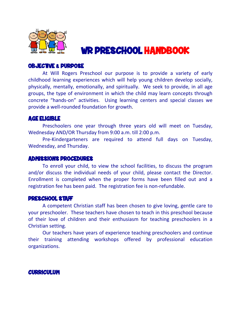

## WR PRESCHOOL HANDBOOK

#### OBJECTIVE & PURPOSE

 At Will Rogers Preschool our purpose is to provide a variety of early childhood learning experiences which will help young children develop socially, physically, mentally, emotionally, and spiritually. We seek to provide, in all age groups, the type of environment in which the child may learn concepts through concrete "hands-on" activities. Using learning centers and special classes we provide a well-rounded foundation for growth.

#### AGE ELIGIBLE

 Preschoolers one year through three years old will meet on Tuesday, Wednesday AND/OR Thursday from 9:00 a.m. till 2:00 p.m.

Pre-Kindergarteners are required to attend full days on Tuesday, Wednesday, and Thursday.

#### ADMISSIONS PROCEDURES

 To enroll your child, to view the school facilities, to discuss the program and/or discuss the individual needs of your child, please contact the Director. Enrollment is completed when the proper forms have been filled out and a registration fee has been paid. The registration fee is non-refundable.

#### PRESCHOOL STAFF

 A competent Christian staff has been chosen to give loving, gentle care to your preschooler. These teachers have chosen to teach in this preschool because of their love of children and their enthusiasm for teaching preschoolers in a Christian setting.

Our teachers have years of experience teaching preschoolers and continue their training attending workshops offered by professional education organizations.

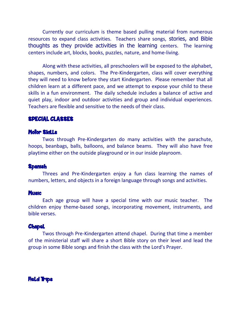Currently our curriculum is theme based pulling material from numerous resources to expand class activities. Teachers share songs, stories, and Bible thoughts as they provide activities in the learning centers. The learning centers include art, blocks, books, puzzles, nature, and home-living.

Along with these activities, all preschoolers will be exposed to the alphabet, shapes, numbers, and colors. The Pre-Kindergarten, class will cover everything they will need to know before they start Kindergarten. Please remember that all children learn at a different pace, and we attempt to expose your child to these skills in a fun environment. The daily schedule includes a balance of active and quiet play, indoor and outdoor activities and group and individual experiences. Teachers are flexible and sensitive to the needs of their class.

#### SPECIAL CLASSES

#### Motor Skills

Twos through Pre-Kindergarten do many activities with the parachute, hoops, beanbags, balls, balloons, and balance beams. They will also have free playtime either on the outside playground or in our inside playroom.

#### **Spanish**

Threes and Pre-Kindergarten enjoy a fun class learning the names of numbers, letters, and objects in a foreign language through songs and activities.

#### **Music**

Each age group will have a special time with our music teacher. The children enjoy theme-based songs, incorporating movement, instruments, and bible verses.

#### **Chapel**

Twos through Pre-Kindergarten attend chapel. During that time a member of the ministerial staff will share a short Bible story on their level and lead the group in some Bible songs and finish the class with the Lord's Prayer.

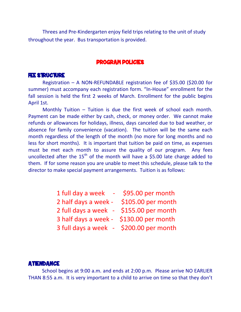Threes and Pre-Kindergarten enjoy field trips relating to the unit of study throughout the year. Bus transportation is provided.

#### PROGRAM POLICIES

#### FEE STRUCTURE

Registration – A NON-REFUNDABLE registration fee of \$35.00 (\$20.00 for summer) must accompany each registration form. "In-House" enrollment for the fall session is held the first 2 weeks of March. Enrollment for the public begins April 1st.

Monthly Tuition – Tuition is due the first week of school each month. Payment can be made either by cash, check, or money order. We cannot make refunds or allowances for holidays, illness, days canceled due to bad weather, or absence for family convenience (vacation). The tuition will be the same each month regardless of the length of the month (no more for long months and no less for short months). It is important that tuition be paid on time, as expenses must be met each month to assure the quality of our program. Any fees uncollected after the  $15<sup>th</sup>$  of the month will have a \$5.00 late charge added to them. If for some reason you are unable to meet this schedule, please talk to the director to make special payment arrangements. Tuition is as follows:

| 1 full day a week<br>$\sim 100$         | \$95.00 per month  |
|-----------------------------------------|--------------------|
| 2 half days a week -                    | \$105.00 per month |
| 2 full days a week - \$155.00 per month |                    |
| 3 half days a week - \$130.00 per month |                    |
|                                         |                    |

3 full days a week - \$200.00 per month

#### **ATTENDANCE**

 School begins at 9:00 a.m. and ends at 2:00 p.m. Please arrive NO EARLIER THAN 8:55 a.m. It is very important to a child to arrive on time so that they don't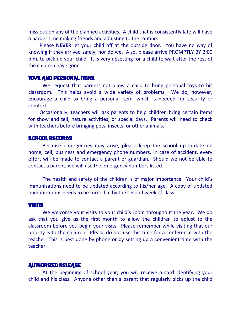miss out on any of the planned activities. A child that is consistently late will have a harder time making friends and adjusting to the routine.

 Please **NEVER** let your child off at the outside door. You have no way of knowing if they arrived safely, nor do we. Also, please arrive PROMPTLY BY 2:00 p.m. to pick up your child. It is very upsetting for a child to wait after the rest of the children have gone.

#### TOYS AND PERSONAL ITEMS

 We request that parents not allow a child to bring personal toys to his classroom. This helps avoid a wide variety of problems. We do, however, encourage a child to bring a personal item, which is needed for security or comfort.

 Occasionally, teachers will ask parents to help children bring certain items for show and tell, nature activities, or special days. Parents will need to check with teachers before bringing pets, insects, or other animals.

#### SCHOOL RECORDS

Because emergencies may arise, please keep the school up-to-date on home, cell, business and emergency phone numbers. In case of accident, every effort will be made to contact a parent or guardian. Should we not be able to contact a parent, we will use the emergency numbers listed.

The health and safety of the children is of major importance. Your child's immunizations need to be updated according to his/her age. A copy of updated immunizations needs to be turned in by the second week of class.

#### VISITS

We welcome your visits to your child's room throughout the year. We do ask that you give us the first month to allow the children to adjust to the classroom before you begin your visits. Please remember while visiting that our priority is to the children. Please do not use this time for a conference with the teacher. This is best done by phone or by setting up a convenient time with the teacher.

#### AUTHORIZED RELEASE

At the beginning of school year, you will receive a card identifying your child and his class. Anyone other than a parent that regularly picks up the child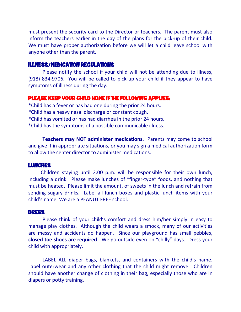must present the security card to the Director or teachers. The parent must also inform the teachers earlier in the day of the plans for the pick-up of their child. We must have proper authorization before we will let a child leave school with anyone other than the parent.

#### ILLNESS/MEDICATION REGULATIONS

Please notify the school if your child will not be attending due to illness, (918) 834-9706. You will be called to pick up your child if they appear to have symptoms of illness during the day.

#### PLEASE KEEP YOUR CHILD HOME IF THE FOLLOWING APPLIES:

\*Child has a fever or has had one during the prior 24 hours.

- \*Child has a heavy nasal discharge or constant cough.
- \*Child has vomited or has had diarrhea in the prior 24 hours.

\*Child has the symptoms of a possible communicable illness.

**Teachers may NOT administer medications.** Parents may come to school and give it in appropriate situations, or you may sign a medical authorization form to allow the center director to administer medications.

#### LUNCHES

 Children staying until 2:00 p.m. will be responsible for their own lunch, including a drink. Please make lunches of "finger-type" foods, and nothing that must be heated. Please limit the amount, of sweets in the lunch and refrain from sending sugary drinks. Label all lunch boxes and plastic lunch items with your child's name. We are a PEANUT FREE school.

#### DRESS

Please think of your child's comfort and dress him/her simply in easy to manage play clothes. Although the child wears a smock, many of our activities are messy and accidents do happen. Since our playground has small pebbles, **closed toe shoes are required**. We go outside even on "chilly" days. Dress your child with appropriately.

LABEL ALL diaper bags, blankets, and containers with the child's name. Label outerwear and any other clothing that the child might remove. Children should have another change of clothing in their bag, especially those who are in diapers or potty training.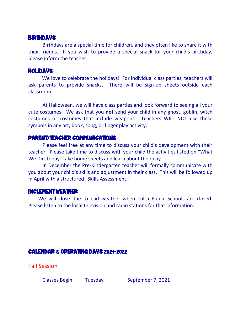#### **BIRTHDAYS**

Birthdays are a special time for children, and they often like to share it with their friends. If you wish to provide a special snack for your child's birthday, please inform the teacher.

#### HOLIDAYS

 We love to celebrate the holidays! For individual class parties, teachers will ask parents to provide snacks. There will be sign-up sheets outside each classroom.

At Halloween, we will have class parties and look forward to seeing all your cute costumes. We ask that you **not** send your child in any ghost, goblin, witch costumes or costumes that include weapons. Teachers WILL NOT use these symbols in any art, book, song, or finger play activity.

### PARENT/TEACHER COMMUNICATIONS

 Please feel free at any time to discuss your child's development with their teacher. Please take time to discuss with your child the activities listed on "What We Did Today" take home sheets and learn about their day.

In December the Pre-Kindergarten teacher will formally communicate with you about your child's skills and adjustment in their class. This will be followed up in April with a structured "Skills Assessment."

#### INCLEMENT WEATHER

 We will close due to bad weather when Tulsa Public Schools are closed. Please listen to the local television and radio stations for that information.

## CALENDAR & OPERATING DAYS 2021-2022

Fall Session

Classes Begin Tuesday September 7, 2021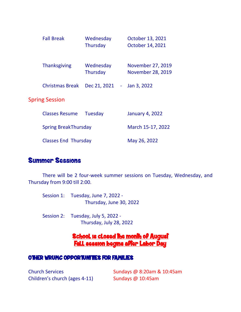| <b>Fall Break</b>           | Wednesday<br>Thursday        | October 13, 2021<br>October 14, 2021   |
|-----------------------------|------------------------------|----------------------------------------|
| <b>Thanksgiving</b>         | Wednesday<br><b>Thursday</b> | November 27, 2019<br>November 28, 2019 |
| <b>Christmas Break</b>      | Dec 21, 2021<br>÷.           | Jan 3, 2022                            |
| <b>Spring Session</b>       |                              |                                        |
| <b>Classes Resume</b>       | Tuesday                      | <b>January 4, 2022</b>                 |
| <b>Spring BreakThursday</b> |                              | March 15-17, 2022                      |
| <b>Classes End Thursday</b> |                              | May 26, 2022                           |

## Summer Sessions

There will be 2 four-week summer sessions on Tuesday, Wednesday, and Thursday from 9:00 till 2:00.

| Session 1: Tuesday, June 7, 2022 - |
|------------------------------------|
| Thursday, June 30, 2022            |

Session 2: Tuesday, July 5, 2022 - Thursday, July 28, 2022

## <u>School is closed the month of August</u> Fall session begins after Labor Day

### OTHER WRUMC OPPORTUNITIES FOR FAMILIES

Children's church (ages 4-11) Sundays @ 10:45am

Church Services Sundays @ 8:20am & 10:45am